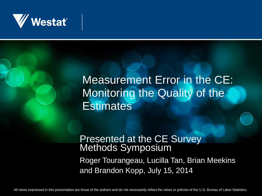

#### Measurement Error in the CE: Monitoring the Quality of the **Estimates**

#### Presented at the CE Survey Methods Symposium Roger Tourangeau, Lucilla Tan, Brian Meekins and Brandon Kopp, July 15, 2014

All views expressed in this presentation are those of the authors and do not necessarily reflect the views or policies of the U.S. Bureau of Labor Statistics.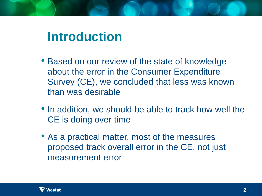# **Introduction**

- Based on our review of the state of knowledge about the error in the Consumer Expenditure Survey (CE), we concluded that less was known than was desirable
- In addition, we should be able to track how well the CE is doing over time
- As a practical matter, most of the measures proposed track overall error in the CE, not just measurement error

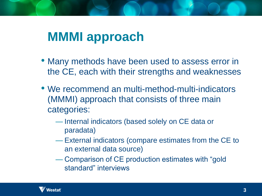## **MMMI approach**

- Many methods have been used to assess error in the CE, each with their strengths and weaknesses
- We recommend an multi-method-multi-indicators (MMMI) approach that consists of three main categories:
	- Internal indicators (based solely on CE data or paradata)
	- External indicators (compare estimates from the CE to an external data source)
	- Comparison of CE production estimates with "gold standard" interviews

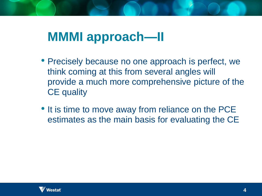## **MMMI approach—II**

- Precisely because no one approach is perfect, we think coming at this from several angles will provide a much more comprehensive picture of the CE quality
- It is time to move away from reliance on the PCE estimates as the main basis for evaluating the CE

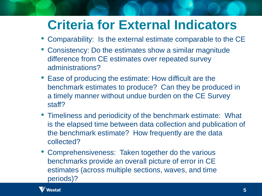# **Criteria for External Indicators**

- Comparability: Is the external estimate comparable to the CE
- Consistency: Do the estimates show a similar magnitude difference from CE estimates over repeated survey administrations?
- Ease of producing the estimate: How difficult are the benchmark estimates to produce? Can they be produced in a timely manner without undue burden on the CE Survey staff?
- Timeliness and periodicity of the benchmark estimate: What is the elapsed time between data collection and publication of the benchmark estimate? How frequently are the data collected?
- Comprehensiveness: Taken together do the various benchmarks provide an overall picture of error in CE estimates (across multiple sections, waves, and time periods)?

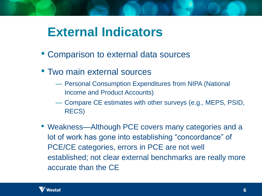#### **External Indicators**

- Comparison to external data sources
- Two main external sources
	- Personal Consumption Expenditures from NIPA (National Income and Product Accounts)
	- Compare CE estimates with other surveys (e.g., MEPS, PSID, RECS)
- Weakness—Although PCE covers many categories and a lot of work has gone into establishing "concordance" of PCE/CE categories, errors in PCE are not well established; not clear external benchmarks are really more accurate than the CE

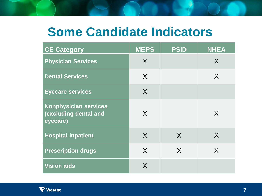## **Some Candidate Indicators**

| <b>CE Category</b>                                                | <b>MEPS</b> | <b>PSID</b> | <b>NHEA</b> |
|-------------------------------------------------------------------|-------------|-------------|-------------|
| <b>Physician Services</b>                                         | X           |             | X           |
| <b>Dental Services</b>                                            | X           |             | X           |
| <b>Eyecare services</b>                                           | X           |             |             |
| <b>Nonphysician services</b><br>(excluding dental and<br>eyecare) | X           |             | X           |
| <b>Hospital-inpatient</b>                                         | X           | $\sf X$     | X           |
| <b>Prescription drugs</b>                                         | X           | $\sf X$     | X           |
| <b>Vision aids</b>                                                | X           |             |             |

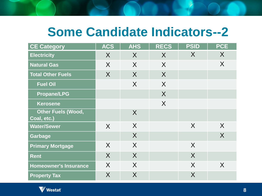## **Some Candidate Indicators--2**

| <b>CE Category</b>                       | <b>ACS</b> | <b>AHS</b> | <b>RECS</b> | <b>PSID</b> | <b>PCE</b>     |
|------------------------------------------|------------|------------|-------------|-------------|----------------|
| <b>Electricity</b>                       | X          | X          | X           | X           | X              |
| <b>Natural Gas</b>                       | $\sf X$    | $\sf X$    | $\sf X$     |             | $\sf X$        |
| <b>Total Other Fuels</b>                 | $\sf X$    | X          | $\sf X$     |             |                |
| <b>Fuel Oil</b>                          |            | $\sf X$    | $\sf X$     |             |                |
| <b>Propane/LPG</b>                       |            |            | $\sf X$     |             |                |
| <b>Kerosene</b>                          |            |            | $\sf X$     |             |                |
| <b>Other Fuels (Wood,</b><br>Coal, etc.) |            | $\sf X$    |             |             |                |
| <b>Water/Sewer</b>                       | $\sf X$    | X          |             | X           | $\sf X$        |
| <b>Garbage</b>                           |            | $\sf X$    |             |             | $\overline{X}$ |
| <b>Primary Mortgage</b>                  | X          | $\sf X$    |             | X           |                |
| <b>Rent</b>                              | X          | $\sf X$    |             | X           |                |
| <b>Homeowner's Insurance</b>             | $\sf X$    | $\sf X$    |             | X           | X              |
| <b>Property Tax</b>                      | X          | X          |             | X           |                |

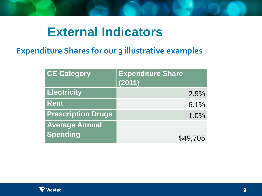#### **External Indicators**

#### **Expenditure Shares for our 3 illustrative examples**

| <b>CE Category</b>        | <b>Expenditure Share</b><br>(2011) |          |
|---------------------------|------------------------------------|----------|
| <b>Electricity</b>        |                                    | 2.9%     |
| <b>Rent</b>               |                                    | 6.1%     |
| <b>Prescription Drugs</b> |                                    | 1.0%     |
| <b>Average Annual</b>     |                                    |          |
| Spending                  |                                    | \$49,705 |

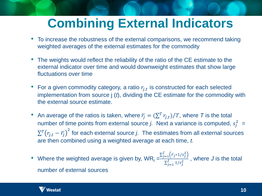# **Combining External Indicators**

- To increase the robustness of the external comparisons, we recommend taking weighted averages of the external estimates for the commodity
- The weights would reflect the reliability of the ratio of the CE estimate to the external indicator over time and would downweight estimates that show large fluctuations over time
- For a given commodity category, a ratio  $r_{j,t}$  is constructed for each selected implementation from source j (*t*), dividing the CE estimate for the commodity with the external source estimate.
- An average of the ratios is taken, where  $\overline{r}_j = (\sum^T r_{j,t})/T$ , where T is the total number of time points from external source *j*. Next a variance is computed,  $s_j^2$  =  $\sum^T \bigl(r_{j,t} - \overline{r_j}\bigr)^2$  for each external source *j*. The estimates from all external sources are then combined using a weighted average at each time, *t.*
- Where the weighted average is given by,  $WR_t = \frac{\sum_{j=1}^{J} (\bar{r}_{j*1/s_j^2})}{\sum_{j=1}^{J} (r_{j*1/s_j^2})}$  $\frac{z_{j=1}^{J} (1 - z_{j})}{\sum_{j=1}^{J} 1/s_{j}^{2}}$ , where *J* is the total number of external sources

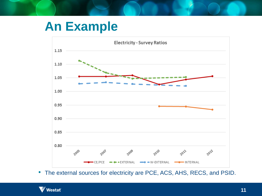# **An Example**



• The external sources for electricity are PCE, ACS, AHS, RECS, and PSID.

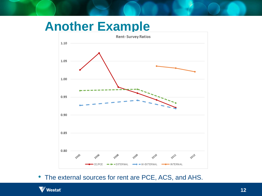#### **Another Example**



• The external sources for rent are PCE, ACS, and AHS.

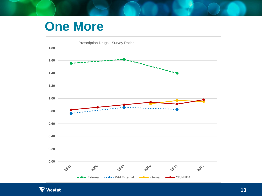#### **One More**



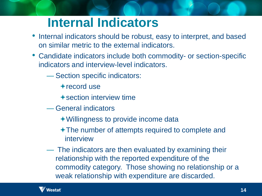## **Internal Indicators**

- Internal indicators should be robust, easy to interpret, and based on similar metric to the external indicators.
- Candidate indicators include both commodity- or section-specific indicators and interview-level indicators.
	- Section specific indicators:
		- $+$  record use
		- $\bigstar$  section interview time
	- General indicators
		- Willingness to provide income data
		- The number of attempts required to complete and interview
	- The indicators are then evaluated by examining their relationship with the reported expenditure of the commodity category. Those showing no relationship or a weak relationship with expenditure are discarded.

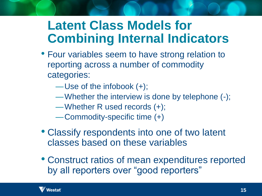# **Latent Class Models for Combining Internal Indicators**

- Four variables seem to have strong relation to reporting across a number of commodity categories:
	- —Use of the infobook (+);
	- —Whether the interview is done by telephone (-);
	- —Whether R used records (+);
	- —Commodity-specific time (+)
- Classify respondents into one of two latent classes based on these variables
- Construct ratios of mean expenditures reported by all reporters over "good reporters"

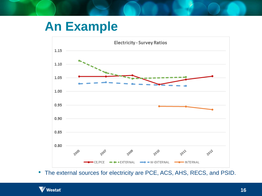# **An Example**



• The external sources for electricity are PCE, ACS, AHS, RECS, and PSID.

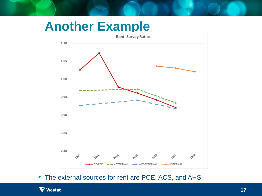#### **Another Example**



• The external sources for rent are PCE, ACS, and AHS.

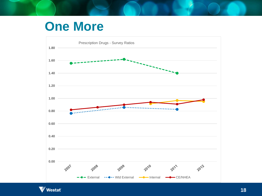#### **One More**



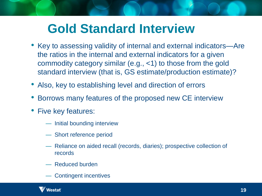# **Gold Standard Interview**

- Key to assessing validity of internal and external indicators—Are the ratios in the internal and external indicators for a given commodity category similar (e.g., <1) to those from the gold standard interview (that is, GS estimate/production estimate)?
- Also, key to establishing level and direction of errors
- Borrows many features of the proposed new CE interview
- Five key features:
	- Initial bounding interview
	- Short reference period
	- Reliance on aided recall (records, diaries); prospective collection of records
	- Reduced burden
	- Contingent incentives

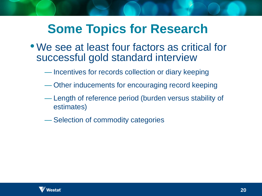# **Some Topics for Research**

- We see at least four factors as critical for successful gold standard interview
	- Incentives for records collection or diary keeping
	- Other inducements for encouraging record keeping
	- Length of reference period (burden versus stability of estimates)
	- Selection of commodity categories